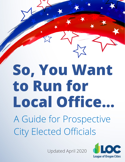**So, You Want to Run for Local Office…** A Guide for Prospective City Elected Officials

So You Wanted April 2020

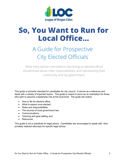

# **So, You Want to Run for Local Office…**

# A Guide for Prospective City Elected Officials

What every person interested in becoming an elected official should know about roles, responsibilities, and representing their community and city government.

This guide is primarily intended for candidates for city council. It serves as a reference and deals with a variety of important topics. This guide is meant to serve as an orientation for those who wish to assume a leadership role at the local level. The guide will outline:

- How to file for elective office:
- What to expect once elected;
- Roles and responsibilities;
- The sources of local government law;
- Communications;
- Visioning and goal setting; and
- Resources.

This guide is not a substitute for legal advice. Candidates are encouraged to speak with their privately retained attorneys for specific legal advice.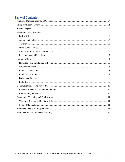# **Table of Contents**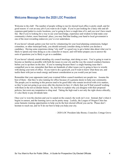# <span id="page-3-0"></span>**Welcome Message from the 2020 LOC President**

Welcome to the club! The number of people willing to run for elected local office is pretty small, and for good reason: it's not an easy job if you want to do it right. If you're just looking for a fancy title and allexpenses-paid junket to exotic locations, you're going to have a rough time of it, and you won't have much fun. But if you're looking for a way to use your knowledge, experience and wisdom to help make your community a better, more functional place, you may find that lending your hand to local government is one of the most rewarding endeavors you've ever undertaken.

If you haven't already gotten your feet wet by volunteering for your local planning commission, budget committee, or other municipal body, you should seriously consider doing so before you declare a candidacy. Having some experience doing "city stuff" is a good way to get a better idea about what you're likely to spend your time doing as a city councilor or mayor, and will better prepare you to answer the sorts of questions you're likely to get as a candidate.

If you haven't already started attending city council meetings, start doing so now. You're going to want to become as familiar as possible with both the issues in your city and the way the council conducts business before you're up there on the dais. If you're running because there's a single burning issue that's compelled you to run, remember that there are hundreds of other issues you're going to have to wrestle with during your term of office. If you want to do a good job, you'll want to know what those are, and tackle them with just as much energy and honest consideration as you would your pet issue.

Remember that your opponents (and your eventual fellow council members) are people too. Assume the best of them—that they're also running for office because of a genuine desire to help your community. The people you're meeting in this process tend to be good folks who remain involved with civic matters, so they're just not going to go away after the election (in fact, it's likely that you'll find yourself working with them in the not-so-distant future). So, feel free to explain why you disagree with their proposed policies, but resist any temptation to sling mud. Taking the high road is not only the right choice ethically, it's also likely to pay dividends later.

Once you've won the election and you're seated on the council, the work isn't over. Instead, that's when it begins in earnest, and the learning curve can be pretty steep. Luckily, the League of Oregon Cities has some fantastic training opportunities to help you be the best elected official you can be. Please don't hesitate to reach out, and we'll do our best to help you help your city.

– 2020 LOC President Jake Boone, Councilor, Cottage Grove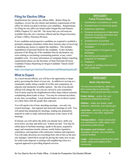# <span id="page-4-0"></span>**Filing for Elective Office**

Qualifications for various city offices differ. Before filing for candidacy, review the city charter and statutory requirements of the office for which you plan to declare your candidacy. Requirements for filing for city office are found under Oregon Revised Statutes (ORS) Chapters 221 and 249. The forms that you will need are available from the city's elections official and the Oregon Secretary of State's Office, Elections Division.

Every candidate and prospective candidate are required to establish a principal campaign committee within three business days of receiving or spending any money to support the candidacy. This includes expenditures of personal funds by the candidate. It also includes payment of the filing fee if the candidate files by declaration, any costs relating to circulating a nominating petition, or any voters' pamphlet costs. For more information on campaign finance reporting requirements please see the Secretary of State Elections Division Candidate Finance Reporting in Oregon Candidate "Quick Guide" available at:

[https://sos.oregon.gov/elections/Documents/candidatequickguide.pdf.](https://sos.oregon.gov/elections/Documents/candidatequickguide.pdf)

# <span id="page-4-1"></span>**What to Expect**

As a local elected official, you will have the opportunity to shape policy governing the future of your city. In addition to serving as a community leader, being a model of civility and cooperation, an educator and interpreter of public opinion – the role of an elected official will change the way you are viewed in your community. You'll rarely stop by the neighborhood coffee shop without someone complaining about roads or taxes. You may be cornered anywhere, at any time, on anything. Local elected leaders are in direct contact on a daily basis with the people they represent.

You will spend a lot of time attending meetings – not only city council meetings – but regional and statewide meetings as well. You will spend time preparing for meetings, reading any preparatory material in order to make informed decisions in the course of all meetings.

If elected, you will utilize the skills you already have, skills you never knew you had, and skills you wished you had. You may be called upon to facilitate meetings, speak to the press, respond to angry and sometimes hostile citizens, testify before legislative committees, and negotiate with contractors, bankers and engineers. You will make decisions on everything from who to hire as the next city manager, which bid to accept for paving the roads, how to pay for solid waste disposal, to joining with neighboring cities in a regional approach to providing dispatch services.

# **SPOTLIGHT:**

## **Policy Process Steps**

- 1. Identification of problems or needs
- 2. Establishment of community goals
- 3. Determine objectives
- 4. Development/analysis of alternative solutions (including short-term and long-term implications)
- 5. Establishment of priorities
- 6. Development of programs and strategies
- 7. Implementation of programs and strategies
- 8. Monitoring and evaluation of programs or strategies
- 9. Feedback
- 10. Program or strategy improvement and modification

## **SPOTLIGHT:**

#### **Basic City Services**

The services provided by cities vary from community to community. However, some typical services include:

**Public Safety** – police, fire, and sometimes ambulance service

**Utilities** – water and sewer, trash collection, electricity, and natural gas

**Land Use** – planning, zoning, code enforcement, and other regulatory activities

**Transportation** – street construction and maintenance, traffic safety, and sometimes public transit

**Recreation and Cultural** – parks, recreation, libraries, and sometimes cultural facilities

**Legal** – ordinances protecting the public health, safety and welfare of the community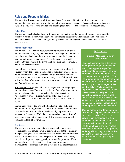# <span id="page-5-0"></span>**Roles and Responsibilities**

The specific roles and responsibilities of members of city leadership will vary from community to community. Each position plays a vital role in the governance of the city. The council serves as the city's legislative body by adopting a budget and adopting local laws – called ordinances – and regulations.

# <span id="page-5-1"></span>**Policy Role**

The council is the highest authority within city government in deciding issues of policy. For a council to effectively assume a positive and active role in bringing issues forward for discussion in setting policy, councilors need a clear understanding of policy process and the stages at which council intervention is most effective.

## <span id="page-5-2"></span>**Administrative Role**

The council, as a collective body, is responsible for the oversight of administration in every city, but the roles that the mayor and individual councilors play in city administration vary considerably, depending on city size and form of government. Typically, the only city staff overseen by the council is the city's chief executive and potentially a handful of department heads.

Council/Manager Form – The majority of Oregon cities follow this structure where the council is comprised of volunteers who decide the policy for the city, which is overseen by a paid city manager who serves as the chief executive. Approximately 55% of cities nationwide utilize this form of government, and it is most popular in the Southeast and Pacific Coast regions.

Strong Mayor Form – The only city in Oregon with a strong mayor structure is the city of Beaverton. Under this form of government, the mayor is elected but also serves as the city's chief executive. Approximately 34% of cities nationwide utilize this form of government and it is most popular in the Mid-Atlantic and Midwest regions.

Commission Form – The city of Portland is the state's only true commission form of government. In this form, elected commissioners serve as the administrative head of selected city departments as assigned by the mayor. While the commission is the oldest form of local government in the country, only 1% of cities nationwide utilize a commission form of government.

## <span id="page-5-3"></span>**The Mayor**

The mayor's role varies from city to city, depending on charter requirements. The mayor serves as the public face of the community by representing the city at community events or government functions. The mayor also serves as the spokesperson for the council. During council meetings, the mayor typically serves as the presiding officer and sets the agenda for meetings. Often, the mayor appoints individuals to committees and work groups and signs ordinances and

# **SPOTLIGHT:**

### **Council-Manager Form of Government**

The chief characteristic of the councilmanager form of government is that the council appoints a qualified professional person as city manager or administrator to take charge of the daily supervision of city affairs. The manager or administrator serves at the pleasure of the council – the council sets policy and the manager carries out that policy. While an absolute separation between policy and administration does not really exist, the council-manager form works best when the council exercises its responsibility for policy leadership and respects the manager's leadership role and responsibility for administration.

Council-manager charters commonly include specific provisions that prohibit individual councilors from giving orders to city employees and from attempting to influence or coerce the manager with respect to appointments, purchasing, or other matters. However, the charters do not prohibit, and may affirmatively provide for the council to discuss administrative matters with the manager in open meetings.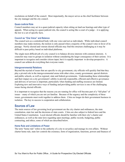resolutions on behalf of the council. Most importantly, the mayor serves as the chief facilitator between the city manager and the city council.

#### <span id="page-6-0"></span>**Quasi-Judicial Role**

Council members may act in a quasi-judicial capacity when sitting on land use hearings and other type of appeals. When acting in a quasi-judicial role, the council is acting like a court of a judge  $-$  it is applying the law to a set of specific facts.

#### <span id="page-6-1"></span>**Council as "One Voice" and Balance**

The council acts as a centralized body with one voice and not as individuals. While individual council members may make motions, the motion is only passed when a majority of the council votes in favor of its passage. Newly elected and veteran elected officials may find this structure challenging as it may be difficult to pass policy based on individual platforms.

The single most difficult job of a city council is to balance diverse interests with common interests. A councilor may react to groups in isolation without considering the larger consequence of their actions. It is important to recognize and consider citizen input, but it is equally important to develop perspective. A council can seldom do everything that everyone wants.

#### <span id="page-6-2"></span>**Intergovernmental Relations**

Beyond the myriad of issues that are specific to city government, city officials will quickly find that they play a pivotal role in the intergovernmental arena with other cities, county government, special districts and public schools, as well as regional, state and federal governments. Understanding these relationships and their impact on a city government's ability to provide responsible, efficient and effective governance and delivery of services is important, particularly when funding and staffing resources are limited. Exploring new and innovative ways of funding and providing public services is one of the challenging issues facing elected officials.

It is important to recognize that the reasons you are running for office will become part of a "full plate" of issues – many of which you are not yet familiar. Because of the urgency and the complexity of these issues, governments must work together to address them. Cities no longer do their government business in isolation. The key to success is cooperation and collaboration.

# <span id="page-6-3"></span>**Sources of Law**

The main sources of law governing local government are the city charter and ordinances, the state constitution, state law and the decisions of state courts. Cities are also subject to federal laws and the United States Constitution. Local elected officials should be familiar with their city's charter and ordinances, as well as the state laws regarding open meetings, public records, budgeting, public contracting, and ethics, some of which are described below.

#### <span id="page-6-4"></span>**Home Rule and Limitations of Power**

The term "home rule" refers to the authority of a city to set policy and manage its own affairs. Without charter home rule, state law controls the existence, form of organization, functions, powers and finances of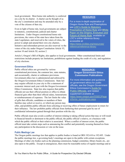local government. Most home rule authority is conferred on a city by its charter. A charter can be thought of as the city's constitution and may be amended only by a vote of the citizens of that city.

Even in light of home rule, local governments are subject to statutory, constitutional, judicial and charter limitations. Under Oregon constitutional home rule provisions, the voters of the state have taken from the state Legislature, and reserved to the voters of cities, the power to adopt and amend their own city charters. Initiative and referendum powers are also reserved to the voters of the city under Oregon Constitution Article VI, section 10 and Article XI, section 2.

#### **RESOURCE:**

For a more in-depth explanation of Oregon Home Rule and Preemptions see **[LOC's Guide to Statutory](https://www.orcities.org/application/files/4715/7904/6324/StatutoryPreemptionSummary02-10-19.pdf)  [Preemption of Home Rule](https://www.orcities.org/application/files/4715/7904/6324/StatutoryPreemptionSummary02-10-19.pdf)** and **[White](https://www.orcities.org/application/files/5315/6036/1714/WhitePaper-OriginsEvolutionFutureHomeRule6-15-17.pdf)  [Paper on the Origins, Evolution and](https://www.orcities.org/application/files/5315/6036/1714/WhitePaper-OriginsEvolutionFutureHomeRule6-15-17.pdf)  [Future of Home Rule](https://www.orcities.org/application/files/5315/6036/1714/WhitePaper-OriginsEvolutionFutureHomeRule6-15-17.pdf)**, available on LOC's online reference library accessible at: [https://www.orcities.org/resources/](https://www.orcities.org/resources/%0breference/reference-library) [reference/reference-library](https://www.orcities.org/resources/%0breference/reference-library)

Article I, Oregon's Bill of Rights, also applies to local governments. Other constitutional limits and restrictions include property tax limitations, prohibitions against lending the credit of a city, and regulation of city elections.

#### <span id="page-7-0"></span>**Government Ethics**

Public official ethics are governed by various constitutional provisions, the common law, state statutes, and occasionally, charter or ordinance provisions. Government ethics law is administered and enforced by the Oregon Government Ethics Commission. State law may require officials in your city to file a statement of economic interest each year with the Oregon Government Ethics Commission. State law also requires that public officials not use their official position or office to obtain financial gain other than their official salary, honorariums or reimbursements of expenses. The law limits the value of gifts that officials, candidates or members of their families may solicit or receive, or which any person may

#### **RESOURCE: Oregon Government Ethics Commission Publications**

For more information and guidance on government ethics for public officials, see the Oregon Government Ethics Commission's **[Guide for](https://www.oregon.gov/OGEC/docs/Public_Official_Guide/2010%20Guide%20for%20Public%20Officials.pdf)  [Public Officials](https://www.oregon.gov/OGEC/docs/Public_Official_Guide/2010%20Guide%20for%20Public%20Officials.pdf)**, and related supplement available at: [https://www.oregon.gov/OGEC/Page](https://www.oregon.gov/OGEC/Pages/forms_publications.aspx) [s/forms\\_publications.aspx](https://www.oregon.gov/OGEC/Pages/forms_publications.aspx)

offer, and prohibits public officials from soliciting or receiving offers of future employment in return for their influence. The law prohibits public officials from furthering their personal gain by use of confidential information gained through their position with the city.

Public officials must also avoid a conflict of interest relating to taking official action that may or will result in financial benefit or detriment to the public official, the public official's relative, or a business with which the public official or their relative is associated. When a conflict of interest exists, the public official must take certain steps such as announcing the conflict and potentially recusing themselves from any participation in the discussion or vote on the issue.

#### <span id="page-7-1"></span>**Public Meetings Law**

The Oregon public meetings law that applies to public bodies is found in ORS 192.610 to 192.695. Under the public meetings law, a governing body's meetings are open to the public with certain exceptions. Meetings of other city bodies such as the planning commission, budget committee, library board, etc., are also open to the public. Except in emergencies, there must be reasonable notice of regular meetings and at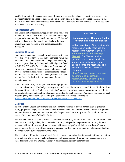least 24-hour notice for special meetings. Minutes are required to be taken. Executive sessions – those meetings that may be closed to the general public – may be held for certain prescribed reasons, but the media must be allowed to attend these meetings and final decisions may not be made. All final decisions must be held in a public meeting.

#### <span id="page-8-0"></span>**Public Records Law**

The Oregon public records law applies to public bodies and is found in ORS 192.311 to 192.478. The public meetings law prescribes not only how local government officials and staff must handle public records, but also how the local government must respond to and handle requests for disclosure.

#### <span id="page-8-1"></span>**Budget and Finance**

Budgeting is an annual process by which cities identify the types and levels of services that can be provided within the constraints of available resources. The general budgeting process is prescribed by the Oregon local budget law found in ORS 294.305 to 294.565. The Oregon Department of Revenue's Finance and Taxation section administers and provides advice and assistance to cities regarding budget matters. The section publishes a local government budget manual that is the basic reference document for local budget procedures.

# **RESOURCE:**

#### **Oregon Attorney General's Public Records and Meetings Manual**

Without doubt one of the most helpful resources on public meetings and records is the Attorney General's **[Public Records and Meetings](https://www.doj.state.or.us/wp-content/uploads/2019/07/public_records_and_meetings_manual.pdf)  [Manual](https://www.doj.state.or.us/wp-content/uploads/2019/07/public_records_and_meetings_manual.pdf)**. The Manual provides guidance and explanations to the various laws that govern Oregon public records and meetings. The Manual is available online free of charge at: https://www.doj.state.or.us/oregondepartment-of-justice/public-

records/attorney-generals-publicrecords-and-meetings-manual/

In its most basic form, the budget identifies city programs,

services and activities. City budgets are organized and expenditures are accounted for by "funds" such as the general fund or street fund, etc. or "activities" such as law enforcement or transportation, in order to permit identification and handling of revenue earmarked for such purposes. Additional resources on local budgeting may be accessible on the Oregon Department of Revenue's website at: [https://www.oregon.gov/DOR/programs/property/Pages/local-budget.aspx.](https://www.oregon.gov/DOR/programs/property/Pages/local-budget.aspx)

#### <span id="page-8-2"></span>**Liabilities**

To some extent, Oregon governments are liable for torts (wrongs to private parties) such as personal injury, property damage, wrongful entry, false arrest and detention, abuse of process, invasion of privacy, and interference with contractual relations. The Oregon Tort Claims Act places a financial limit on the extent of the government's liability for torts.

The personal liability of public officials is governed primarily by the provisions of the Oregon Tort Claims Act. Federal civil rights law, the common law of torts, and specific Oregon statutes also may impose personal liability. Some examples of personal liability are budget law violations, conflicts of interests, actions outside the scope of official duty, malfeasance in office, public contracting violations, and public meetings law and public records law violations.

The council should routinely consult with the city attorney in making decisions on city affairs. In addition to providing professional and technical services such as preparation of formal opinions and drafting of legal documents, the city attorney can supply advice regarding many other matters.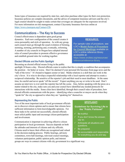Some types of insurance are required by state law, and cities purchase other types for their own protection. Insurance policies are complex documents, and the advice of competent insurance advisors and the city's legal counsel should be sought to make certain that coverages are adequate for the exposures involved. For more information on risk management, contact Citycounty Insurance Services online at [https://www.cisoregon.org/Contact-CIS.](https://www.cisoregon.org/Contact-CIS)

# <span id="page-9-0"></span>**Communications – The Key to Success**

Council effectiveness is dependent upon good group dynamics. Each new configuration of the council creates it owns personality and style of operation. As with any group, each council must go through the usual evolution of forming, storming, norming, performing and, eventually, reforming. A number of city councils in Oregon have adopted internal rules of council procedure to promote effective governance and establish ground rules for working together.

## <span id="page-9-1"></span>**Elected Officials and the Public Spotlight**

Becoming an elected official means living in the public

## **RESOURCE:**

For sample rules of procedure, see LOC's **[Model Rules of Procedure](https://www.orcities.org/application/files/1115/7228/7626/ModelRulesofProcedure3-15-19.pdf)  [for Council Meetings](https://www.orcities.org/application/files/1115/7228/7626/ModelRulesofProcedure3-15-19.pdf)** available on LOC's online reference library accessible at: https://www.orcities.org/resources/ reference/reference-library

spotlight 24 hours a day. Elected officials come to realize that this is simply a condition that accompanies the position – for better or worse. Don't be alarmed if your personal life becomes front page news and the "talk of the town." It's bound to happen sooner or later. Media relations is a skill that can work in the city's favor. It is wise to develop a respectful relationship with a local reporter and attempt to create a reciprocal relationship. Be sensitive of the reporter's job and their need to meet deadlines. At the same time, be careful and never speak "off the record." Expect anything you say or write to be used. Don't assume an interview is over until the reporter has left the scene. Also, before speaking with the press on a matter related to the city, make sure you and your council have identified any needed protocols for interactions with the media. Some cities have identified, through their council rules of procedure, how elected officials communicate with the press – identifying what a councilor or mayor can do when they "speak for" the city as opposed to when they are "speaking for" themselves.

## <span id="page-9-2"></span>**Representing the Public**

Two of the most important tasks of local government officials are to discover citizen opinion and to ensure that citizens have sufficient information to form knowledgeable opinions. For these tasks to be carried out successfully, elected officials must solicit public input and encourage citizen participation and involvement.

Communication is important in achieving effective citizen participation in local government. Success depends on both the attitudes and interests of citizens and city officials. Citizens need to know their efforts are recognized and valued in the decision-making process. Public hearings, advisory committees, town hall meetings, televised council meetings, volunteer participation, public opinion polls, and interest

## **SPOTLIGHT:**

#### **Guidelines for Surviving Life in the "Public Fishbowl"**

- $\checkmark$  Be truthful.
- $\checkmark$  If you don't know the answer, say so.
- $\checkmark$  Anticipate all situations and questions.
- $\checkmark$  Be prepared.
- $\checkmark$  Be accountable and responsible for everything you do and say.

groups are ways to connect citizens with city government in a significant way.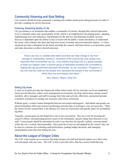# <span id="page-10-0"></span>**Community Visioning and Goal Setting**

City councils should develop community visioning and conduct annual goal setting processes in order to provide a roadmap for all city decisions.

### <span id="page-10-1"></span>**Visioning: Sustaining Quality of Life**

City governance is an institution that enables a community of citizens, through their elected representatives, to maintain safety and a good quality of life, which is accomplished by developing policy, adopting implementing laws and ordinances, and planning for the delivery and financing of public services. Success is dependent upon the ability to stay in touch with the public's needs and desires, to understand the issues, and to balance the short and long term social, economic and environmental impacts. A vision statement provides a blueprint for the future and helps the council, staff and citizens to set priorities, goals, and make decisions to achieve desired outcomes.

*"Every city has an unbelievable talent pool that can help change a city from average to outstanding. However, members of the community must realize how important their involvement can be. I truly believe that King City is a great example of what can happen when a diverse group of dedicated residents are committed to helping the city government represent the people, as city councilors. Progress in a city can only be made by the people who represent the people in the community in which they live and deeply care about."*

- Ken Gibson, Mayor, King City

#### <span id="page-10-2"></span>**Setting City Goals**

A clear set of goals provides the framework within which nearly all city activities can be accomplished. Goals provide direction, reduce crisis management environments, develop cohesiveness among council members, allow managers and staff to manage their time and activities effectively, and permit periodic evaluation of progress to manage any necessary mid-course corrections.

Without goals, a council cannot distinguish between movement and progress. Individuals and groups can spend tremendous effort and resources preforming activities that, in retrospect, were not necessary. Often the reason for this wasted effort is the absence of a clear set of priorities and specific plans for accomplishing them.

Typically, council goals are developed for a one to two-year period. They are a tool for focusing the council's efforts; communicating priority issues to the community; and providing clear direction to city staff. Council goals should be articulated in such a way that they are specific, realistic, outcome-based, within the city's control, and measurable. Once goals have been set and adopted by the council, they can be used as a measure for evaluating staff performance, guiding budget decisions, and managing unanticipated issues that arise during the year.

# <span id="page-10-3"></span>**About the League of Oregon Cities**

The LOC is the trusted, go-to resource that helps Oregon city staff and elected leaders serve their cities well and speak with one voice. The LOC is here to provide cities what they need to build thriving